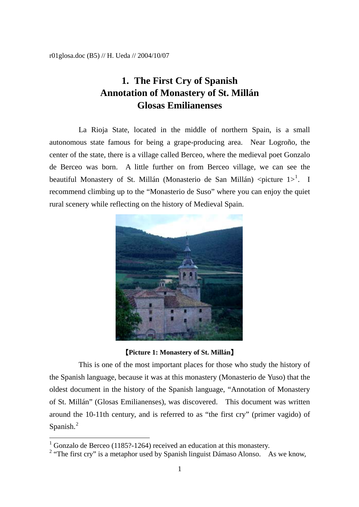## **1. The First Cry of Spanish Annotation of Monastery of St. Millán Glosas Emilianenses**

La Rioja State, located in the middle of northern Spain, is a small autonomous state famous for being a grape-producing area. Near Logroño, the center of the state, there is a village called Berceo, where the medieval poet Gonzalo de Berceo was born. A little further on from Berceo village, we can see the beautiful Monastery of St. Millán (Monasterio de San Millán) <picture  $1>^1$  $1>^1$ . I recommend climbing up to the "Monasterio de Suso" where you can enjoy the quiet rural scenery while reflecting on the history of Medieval Spain.



【**Picture 1: Monastery of St. Millán**】

This is one of the most important places for those who study the history of the Spanish language, because it was at this monastery (Monasterio de Yuso) that the oldest document in the history of the Spanish language, "Annotation of Monastery of St. Millán" (Glosas Emilianenses), was discovered. This document was written around the 10-11th century, and is referred to as "the first cry" (primer vagido) of Spanish.<sup>[2](#page-0-1)</sup>

 $\overline{a}$ 

<span id="page-0-0"></span><sup>1</sup> Gonzalo de Berceo (1185?-1264) received an education at this monastery.

<span id="page-0-1"></span><sup>&</sup>lt;sup>2</sup> "The first cry" is a metaphor used by Spanish linguist Dámaso Alonso. As we know,